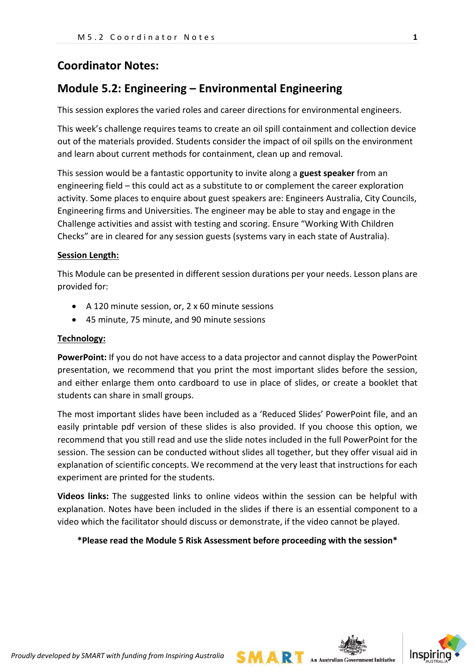# **Coordinator Notes:**

# **Module 5.2: Engineering – Environmental Engineering**

This session explores the varied roles and career directions for environmental engineers.

This week's challenge requires teams to create an oil spill containment and collection device out of the materials provided. Students consider the impact of oil spills on the environment and learn about current methods for containment, clean up and removal.

This session would be a fantastic opportunity to invite along a **guest speaker** from an engineering field – this could act as a substitute to or complement the career exploration activity. Some places to enquire about guest speakers are: Engineers Australia, City Councils, Engineering firms and Universities. The engineer may be able to stay and engage in the Challenge activities and assist with testing and scoring. Ensure "Working With Children Checks" are in cleared for any session guests (systems vary in each state of Australia).

### **Session Length:**

This Module can be presented in different session durations per your needs. Lesson plans are provided for:

- A 120 minute session, or, 2 x 60 minute sessions
- 45 minute, 75 minute, and 90 minute sessions

#### **Technology:**

**PowerPoint:** If you do not have access to a data projector and cannot display the PowerPoint presentation, we recommend that you print the most important slides before the session, and either enlarge them onto cardboard to use in place of slides, or create a booklet that students can share in small groups.

The most important slides have been included as a 'Reduced Slides' PowerPoint file, and an easily printable pdf version of these slides is also provided. If you choose this option, we recommend that you still read and use the slide notes included in the full PowerPoint for the session. The session can be conducted without slides all together, but they offer visual aid in explanation of scientific concepts. We recommend at the very least that instructions for each experiment are printed for the students.

**Videos links:** The suggested links to online videos within the session can be helpful with explanation. Notes have been included in the slides if there is an essential component to a video which the facilitator should discuss or demonstrate, if the video cannot be played.

**\*Please read the Module 5 Risk Assessment before proceeding with the session\***

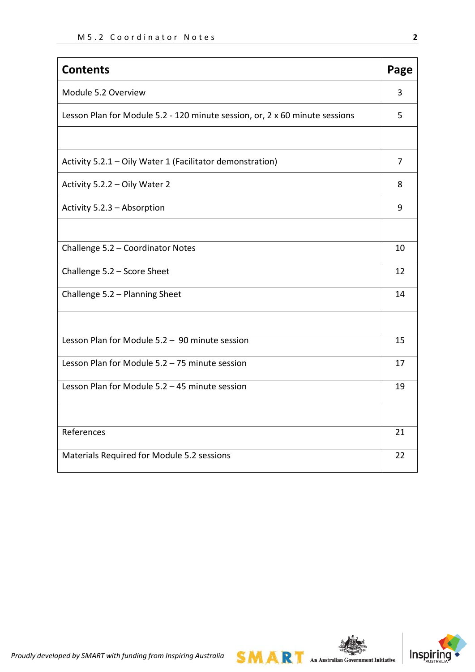| <b>Contents</b>                                                             | Page |
|-----------------------------------------------------------------------------|------|
| Module 5.2 Overview                                                         | 3    |
| Lesson Plan for Module 5.2 - 120 minute session, or, 2 x 60 minute sessions | 5    |
|                                                                             |      |
| Activity 5.2.1 - Oily Water 1 (Facilitator demonstration)                   | 7    |
| Activity 5.2.2 - Oily Water 2                                               | 8    |
| Activity 5.2.3 - Absorption                                                 | 9    |
|                                                                             |      |
| Challenge 5.2 - Coordinator Notes                                           | 10   |
| Challenge 5.2 - Score Sheet                                                 | 12   |
| Challenge 5.2 - Planning Sheet                                              | 14   |
|                                                                             |      |
| Lesson Plan for Module 5.2 - 90 minute session                              | 15   |
| Lesson Plan for Module 5.2 - 75 minute session                              | 17   |
| Lesson Plan for Module 5.2 - 45 minute session                              | 19   |
|                                                                             |      |
| References                                                                  | 21   |
| Materials Required for Module 5.2 sessions                                  | 22   |



**SMART** An Australian Government Initiative

*Proudly developed by SMART with funding from Inspiring Australia*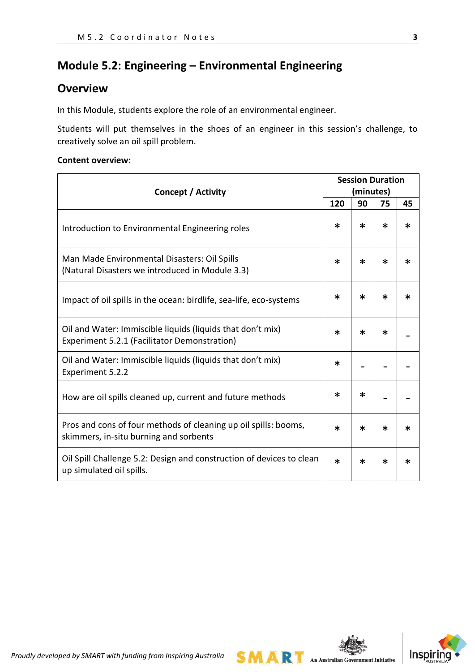# **Module 5.2: Engineering – Environmental Engineering**

## **Overview**

In this Module, students explore the role of an environmental engineer.

Students will put themselves in the shoes of an engineer in this session's challenge, to creatively solve an oil spill problem.

### **Content overview:**

| <b>Concept / Activity</b>                                                                                  |        |        | <b>Session Duration</b><br>(minutes) |        |  |  |
|------------------------------------------------------------------------------------------------------------|--------|--------|--------------------------------------|--------|--|--|
|                                                                                                            | 120    | 90     | 75                                   | 45     |  |  |
| Introduction to Environmental Engineering roles                                                            | $\ast$ | $\ast$ | $\ast$                               | $\ast$ |  |  |
| Man Made Environmental Disasters: Oil Spills<br>(Natural Disasters we introduced in Module 3.3)            | $\ast$ | ж      | $\ast$                               | ∗      |  |  |
| Impact of oil spills in the ocean: birdlife, sea-life, eco-systems                                         | $\ast$ | ж      | $\ast$                               | $\ast$ |  |  |
| Oil and Water: Immiscible liquids (liquids that don't mix)<br>Experiment 5.2.1 (Facilitator Demonstration) | ж      | ж      | $\ast$                               |        |  |  |
| Oil and Water: Immiscible liquids (liquids that don't mix)<br>Experiment 5.2.2                             | ∗      |        |                                      |        |  |  |
| How are oil spills cleaned up, current and future methods                                                  | ∗      | ж      |                                      |        |  |  |
| Pros and cons of four methods of cleaning up oil spills: booms,<br>skimmers, in-situ burning and sorbents  | ж      | ∗      | $\ast$                               | ∗      |  |  |
| Oil Spill Challenge 5.2: Design and construction of devices to clean<br>up simulated oil spills.           | $\ast$ | ж      | $\ast$                               | ∗      |  |  |



**SMART** An Australian Government Initiative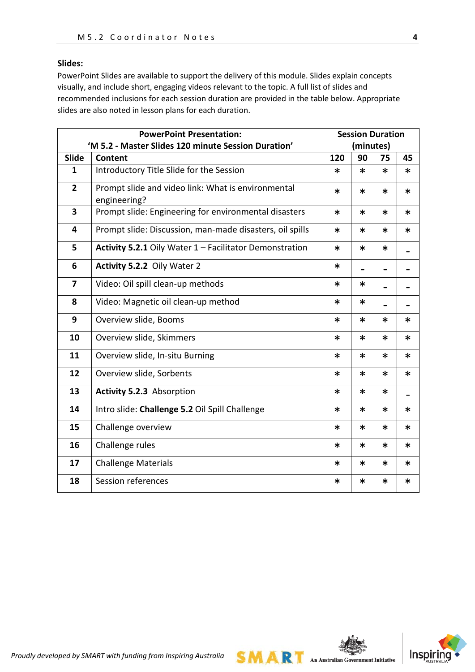## **Slides:**

PowerPoint Slides are available to support the delivery of this module. Slides explain concepts visually, and include short, engaging videos relevant to the topic. A full list of slides and recommended inclusions for each session duration are provided in the table below. Appropriate slides are also noted in lesson plans for each duration.

| <b>PowerPoint Presentation:</b> |                                                                    |        | <b>Session Duration</b> |           |        |
|---------------------------------|--------------------------------------------------------------------|--------|-------------------------|-----------|--------|
|                                 | 'M 5.2 - Master Slides 120 minute Session Duration'                |        |                         | (minutes) |        |
| Slide                           | Content                                                            | 120    | 90                      | 75        | 45     |
| $\mathbf{1}$                    | Introductory Title Slide for the Session                           | $\ast$ | $\ast$                  | $\ast$    | $\ast$ |
| $\overline{2}$                  | Prompt slide and video link: What is environmental<br>engineering? | ∗      | $\ast$                  | $\ast$    | ∗      |
| $\overline{\mathbf{3}}$         | Prompt slide: Engineering for environmental disasters              | $\ast$ | $\ast$                  | $\ast$    | ∗      |
| 4                               | Prompt slide: Discussion, man-made disasters, oil spills           | $\ast$ | $\ast$                  | $\ast$    | ∗      |
| 5                               | Activity 5.2.1 Oily Water 1 - Facilitator Demonstration            | $\ast$ | $\ast$                  | $\ast$    |        |
| 6                               | Activity 5.2.2 Oily Water 2                                        | $\ast$ |                         |           |        |
| 7                               | Video: Oil spill clean-up methods                                  | ∗      | $\ast$                  |           |        |
| 8                               | Video: Magnetic oil clean-up method                                | $\ast$ | $\ast$                  |           |        |
| 9                               | Overview slide, Booms                                              | $\ast$ | $\ast$                  | *         | ∗      |
| 10                              | Overview slide, Skimmers                                           | $\ast$ | $\ast$                  | *         | $\ast$ |
| 11                              | Overview slide, In-situ Burning                                    | $\ast$ | $\ast$                  | $\ast$    | $\ast$ |
| 12                              | Overview slide, Sorbents                                           | $\ast$ | $\ast$                  | $\ast$    | ∗      |
| 13                              | <b>Activity 5.2.3 Absorption</b>                                   | ∗      | $\ast$                  | *         |        |
| 14                              | Intro slide: Challenge 5.2 Oil Spill Challenge                     | $\ast$ | $\ast$                  | $\ast$    | ∗      |
| 15                              | Challenge overview                                                 | ∗      | $\ast$                  | $\ast$    | *      |
| 16                              | Challenge rules                                                    | $\ast$ | $\ast$                  | *         | $\ast$ |
| 17                              | <b>Challenge Materials</b>                                         | $\ast$ | $\ast$                  | $\ast$    | $\ast$ |
| 18                              | Session references                                                 | ∗      | $\ast$                  | ∗         | *      |



 $SMA$   $\mathbb{R}$  An Australian Government Initiative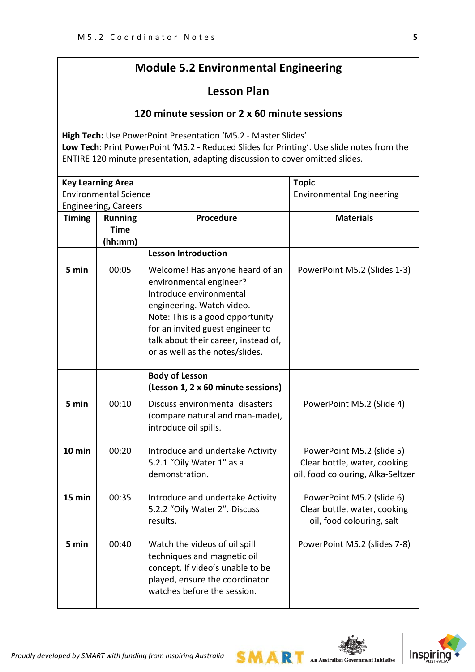# **Module 5.2 Environmental Engineering**

# **Lesson Plan**

## **120 minute session or 2 x 60 minute sessions**

**High Tech:** Use PowerPoint Presentation 'M5.2 - Master Slides' **Low Tech**: Print PowerPoint 'M5.2 - Reduced Slides for Printing'. Use slide notes from the ENTIRE 120 minute presentation, adapting discussion to cover omitted slides.

|               | <b>Key Learning Area</b>     |                                      | <b>Topic</b>                      |
|---------------|------------------------------|--------------------------------------|-----------------------------------|
|               | <b>Environmental Science</b> |                                      | <b>Environmental Engineering</b>  |
|               | Engineering, Careers         |                                      |                                   |
| <b>Timing</b> | <b>Running</b>               | <b>Procedure</b>                     | <b>Materials</b>                  |
|               | <b>Time</b>                  |                                      |                                   |
|               | (hh:mm)                      |                                      |                                   |
|               |                              | <b>Lesson Introduction</b>           |                                   |
| 5 min         | 00:05                        | Welcome! Has anyone heard of an      | PowerPoint M5.2 (Slides 1-3)      |
|               |                              | environmental engineer?              |                                   |
|               |                              | Introduce environmental              |                                   |
|               |                              | engineering. Watch video.            |                                   |
|               |                              | Note: This is a good opportunity     |                                   |
|               |                              | for an invited guest engineer to     |                                   |
|               |                              | talk about their career, instead of, |                                   |
|               |                              | or as well as the notes/slides.      |                                   |
|               |                              |                                      |                                   |
|               |                              | <b>Body of Lesson</b>                |                                   |
|               |                              | (Lesson 1, 2 x 60 minute sessions)   |                                   |
| 5 min         | 00:10                        | Discuss environmental disasters      | PowerPoint M5.2 (Slide 4)         |
|               |                              | (compare natural and man-made),      |                                   |
|               |                              | introduce oil spills.                |                                   |
|               |                              |                                      |                                   |
| $10$ min      | 00:20                        | Introduce and undertake Activity     | PowerPoint M5.2 (slide 5)         |
|               |                              | 5.2.1 "Oily Water 1" as a            | Clear bottle, water, cooking      |
|               |                              | demonstration.                       | oil, food colouring, Alka-Seltzer |
|               |                              |                                      |                                   |
| 15 min        | 00:35                        | Introduce and undertake Activity     | PowerPoint M5.2 (slide 6)         |
|               |                              | 5.2.2 "Oily Water 2". Discuss        | Clear bottle, water, cooking      |
|               |                              | results.                             | oil, food colouring, salt         |
| 5 min         | 00:40                        | Watch the videos of oil spill        | PowerPoint M5.2 (slides 7-8)      |
|               |                              | techniques and magnetic oil          |                                   |
|               |                              |                                      |                                   |
|               |                              | concept. If video's unable to be     |                                   |
|               |                              | played, ensure the coordinator       |                                   |
|               |                              | watches before the session.          |                                   |
|               |                              |                                      |                                   |



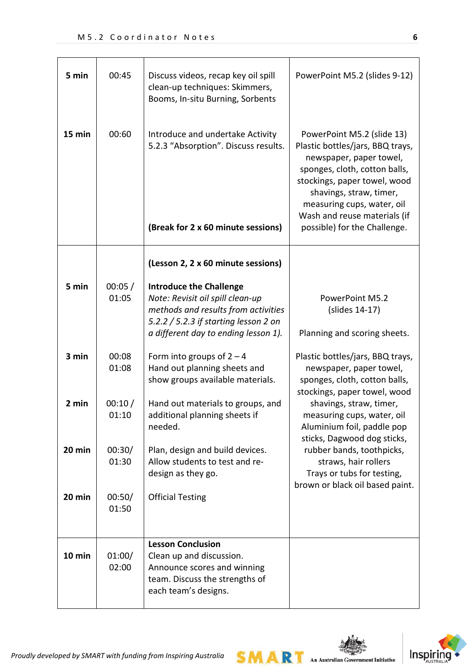| 5 min  | 00:45           | Discuss videos, recap key oil spill<br>clean-up techniques: Skimmers,<br>Booms, In-situ Burning, Sorbents                                                                                  | PowerPoint M5.2 (slides 9-12)                                                                                                                                                                                                                                                       |
|--------|-----------------|--------------------------------------------------------------------------------------------------------------------------------------------------------------------------------------------|-------------------------------------------------------------------------------------------------------------------------------------------------------------------------------------------------------------------------------------------------------------------------------------|
| 15 min | 00:60           | Introduce and undertake Activity<br>5.2.3 "Absorption". Discuss results.<br>(Break for 2 x 60 minute sessions)                                                                             | PowerPoint M5.2 (slide 13)<br>Plastic bottles/jars, BBQ trays,<br>newspaper, paper towel,<br>sponges, cloth, cotton balls,<br>stockings, paper towel, wood<br>shavings, straw, timer,<br>measuring cups, water, oil<br>Wash and reuse materials (if<br>possible) for the Challenge. |
|        |                 | (Lesson 2, 2 x 60 minute sessions)                                                                                                                                                         |                                                                                                                                                                                                                                                                                     |
| 5 min  | 00:05/<br>01:05 | <b>Introduce the Challenge</b><br>Note: Revisit oil spill clean-up<br>methods and results from activities<br>5.2.2 / 5.2.3 if starting lesson 2 on<br>a different day to ending lesson 1). | PowerPoint M5.2<br>(slides 14-17)<br>Planning and scoring sheets.                                                                                                                                                                                                                   |
| 3 min  | 00:08<br>01:08  | Form into groups of $2 - 4$<br>Hand out planning sheets and<br>show groups available materials.                                                                                            | Plastic bottles/jars, BBQ trays,<br>newspaper, paper towel,<br>sponges, cloth, cotton balls,<br>stockings, paper towel, wood                                                                                                                                                        |
| 2 min  | 00:10/<br>01:10 | Hand out materials to groups, and<br>additional planning sheets if<br>needed.                                                                                                              | shavings, straw, timer,<br>measuring cups, water, oil<br>Aluminium foil, paddle pop<br>sticks, Dagwood dog sticks,                                                                                                                                                                  |
| 20 min | 00:30/<br>01:30 | Plan, design and build devices.<br>Allow students to test and re-<br>design as they go.                                                                                                    | rubber bands, toothpicks,<br>straws, hair rollers<br>Trays or tubs for testing,<br>brown or black oil based paint.                                                                                                                                                                  |
| 20 min | 00:50/<br>01:50 | <b>Official Testing</b>                                                                                                                                                                    |                                                                                                                                                                                                                                                                                     |
| 10 min | 01:00/<br>02:00 | <b>Lesson Conclusion</b><br>Clean up and discussion.<br>Announce scores and winning<br>team. Discuss the strengths of<br>each team's designs.                                              |                                                                                                                                                                                                                                                                                     |



*Proudly developed by SMART with funding from Inspiring Australia*

**SMART** An Australian Government Initiative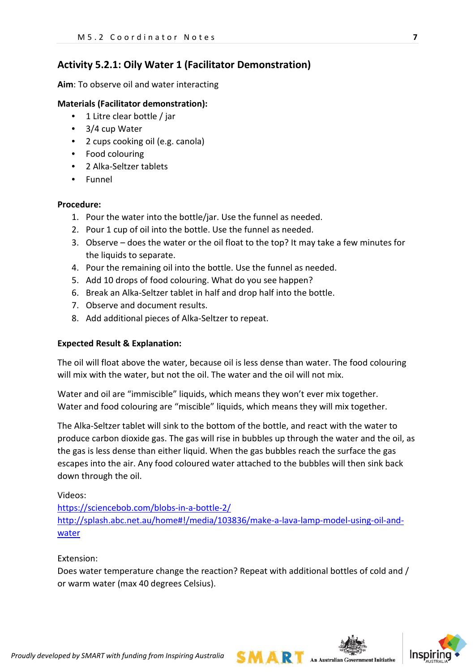## **Activity 5.2.1: Oily Water 1 (Facilitator Demonstration)**

**Aim**: To observe oil and water interacting

## **Materials (Facilitator demonstration):**

- 1 Litre clear bottle / jar
- 3/4 cup Water
- 2 cups cooking oil (e.g. canola)
- Food colouring
- 2 Alka-Seltzer tablets
- Funnel

### **Procedure:**

- 1. Pour the water into the bottle/jar. Use the funnel as needed.
- 2. Pour 1 cup of oil into the bottle. Use the funnel as needed.
- 3. Observe does the water or the oil float to the top? It may take a few minutes for the liquids to separate.
- 4. Pour the remaining oil into the bottle. Use the funnel as needed.
- 5. Add 10 drops of food colouring. What do you see happen?
- 6. Break an Alka-Seltzer tablet in half and drop half into the bottle.
- 7. Observe and document results.
- 8. Add additional pieces of Alka-Seltzer to repeat.

### **Expected Result & Explanation:**

The oil will float above the water, because oil is less dense than water. The food colouring will mix with the water, but not the oil. The water and the oil will not mix.

Water and oil are "immiscible" liquids, which means they won't ever mix together. Water and food colouring are "miscible" liquids, which means they will mix together.

The Alka-Seltzer tablet will sink to the bottom of the bottle, and react with the water to produce carbon dioxide gas. The gas will rise in bubbles up through the water and the oil, as the gas is less dense than either liquid. When the gas bubbles reach the surface the gas escapes into the air. Any food coloured water attached to the bubbles will then sink back down through the oil.

Videos:

<https://sciencebob.com/blobs-in-a-bottle-2/> [http://splash.abc.net.au/home#!/media/103836/make-a-lava-lamp-model-using-oil-and](http://splash.abc.net.au/home#!/media/103836/make-a-lava-lamp-model-using-oil-and-water)[water](http://splash.abc.net.au/home#!/media/103836/make-a-lava-lamp-model-using-oil-and-water)

Extension:

Does water temperature change the reaction? Repeat with additional bottles of cold and / or warm water (max 40 degrees Celsius).



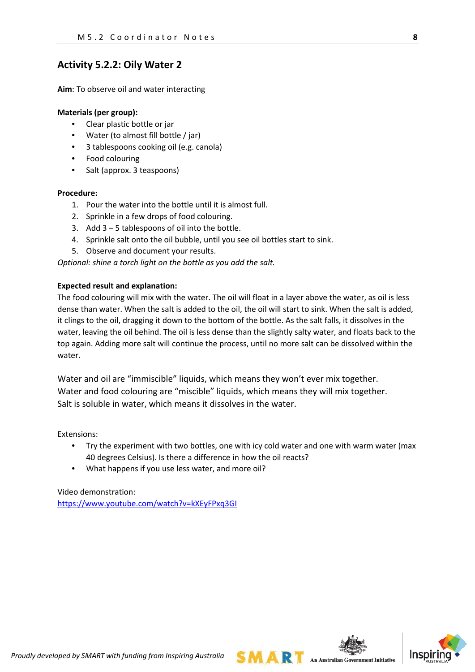## **Activity 5.2.2: Oily Water 2**

**Aim**: To observe oil and water interacting

#### **Materials (per group):**

- Clear plastic bottle or jar
- Water (to almost fill bottle / jar)
- 3 tablespoons cooking oil (e.g. canola)
- Food colouring
- Salt (approx. 3 teaspoons)

#### **Procedure:**

- 1. Pour the water into the bottle until it is almost full.
- 2. Sprinkle in a few drops of food colouring.
- 3. Add 3 5 tablespoons of oil into the bottle.
- 4. Sprinkle salt onto the oil bubble, until you see oil bottles start to sink.
- 5. Observe and document your results.

*Optional: shine a torch light on the bottle as you add the salt.*

#### **Expected result and explanation:**

The food colouring will mix with the water. The oil will float in a layer above the water, as oil is less dense than water. When the salt is added to the oil, the oil will start to sink. When the salt is added, it clings to the oil, dragging it down to the bottom of the bottle. As the salt falls, it dissolves in the water, leaving the oil behind. The oil is less dense than the slightly salty water, and floats back to the top again. Adding more salt will continue the process, until no more salt can be dissolved within the water.

Water and oil are "immiscible" liquids, which means they won't ever mix together. Water and food colouring are "miscible" liquids, which means they will mix together. Salt is soluble in water, which means it dissolves in the water.

Extensions:

- Try the experiment with two bottles, one with icy cold water and one with warm water (max 40 degrees Celsius). Is there a difference in how the oil reacts?
- What happens if you use less water, and more oil?

Video demonstration: <https://www.youtube.com/watch?v=kXEyFPxq3GI>



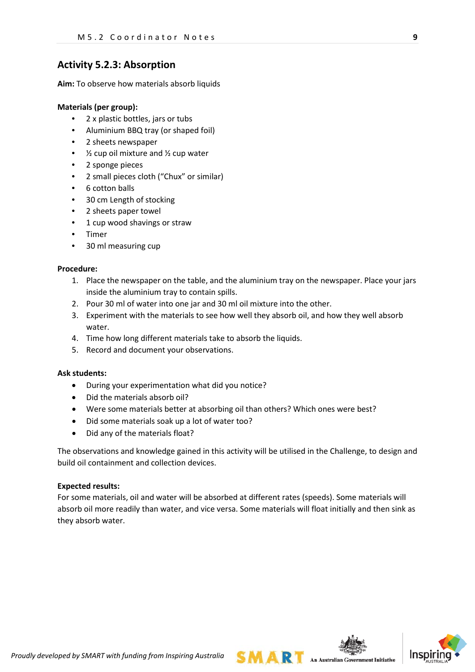## **Activity 5.2.3: Absorption**

**Aim:** To observe how materials absorb liquids

#### **Materials (per group):**

- 2 x plastic bottles, jars or tubs
- Aluminium BBQ tray (or shaped foil)
- 2 sheets newspaper
- $\frac{1}{2}$  cup oil mixture and  $\frac{1}{2}$  cup water
- 2 sponge pieces
- 2 small pieces cloth ("Chux" or similar)
- 6 cotton balls
- 30 cm Length of stocking
- 2 sheets paper towel
- 1 cup wood shavings or straw
- Timer
- 30 ml measuring cup

#### **Procedure:**

- 1. Place the newspaper on the table, and the aluminium tray on the newspaper. Place your jars inside the aluminium tray to contain spills.
- 2. Pour 30 ml of water into one jar and 30 ml oil mixture into the other.
- 3. Experiment with the materials to see how well they absorb oil, and how they well absorb water.
- 4. Time how long different materials take to absorb the liquids.
- 5. Record and document your observations.

#### **Ask students:**

- During your experimentation what did you notice?
- Did the materials absorb oil?
- Were some materials better at absorbing oil than others? Which ones were best?
- Did some materials soak up a lot of water too?
- Did any of the materials float?

The observations and knowledge gained in this activity will be utilised in the Challenge, to design and build oil containment and collection devices.

#### **Expected results:**

For some materials, oil and water will be absorbed at different rates (speeds). Some materials will absorb oil more readily than water, and vice versa. Some materials will float initially and then sink as they absorb water.

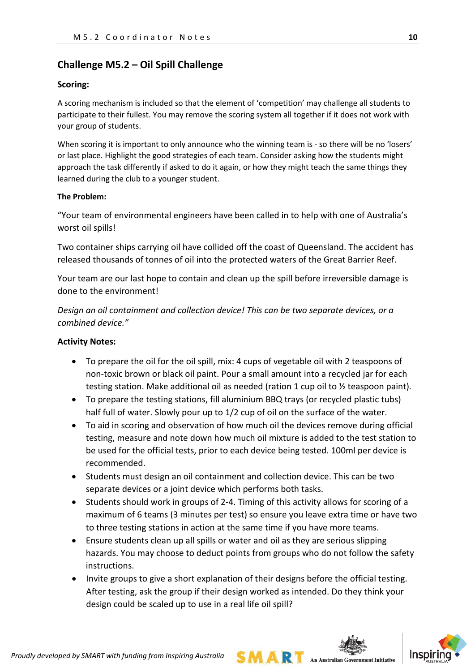## **Challenge M5.2 – Oil Spill Challenge**

#### **Scoring:**

A scoring mechanism is included so that the element of 'competition' may challenge all students to participate to their fullest. You may remove the scoring system all together if it does not work with your group of students.

When scoring it is important to only announce who the winning team is - so there will be no 'losers' or last place. Highlight the good strategies of each team. Consider asking how the students might approach the task differently if asked to do it again, or how they might teach the same things they learned during the club to a younger student.

#### **The Problem:**

"Your team of environmental engineers have been called in to help with one of Australia's worst oil spills!

Two container ships carrying oil have collided off the coast of Queensland. The accident has released thousands of tonnes of oil into the protected waters of the Great Barrier Reef.

Your team are our last hope to contain and clean up the spill before irreversible damage is done to the environment!

*Design an oil containment and collection device! This can be two separate devices, or a combined device."*

#### **Activity Notes:**

- To prepare the oil for the oil spill, mix: 4 cups of vegetable oil with 2 teaspoons of non-toxic brown or black oil paint. Pour a small amount into a recycled jar for each testing station. Make additional oil as needed (ration 1 cup oil to ½ teaspoon paint).
- To prepare the testing stations, fill aluminium BBQ trays (or recycled plastic tubs) half full of water. Slowly pour up to 1/2 cup of oil on the surface of the water.
- To aid in scoring and observation of how much oil the devices remove during official testing, measure and note down how much oil mixture is added to the test station to be used for the official tests, prior to each device being tested. 100ml per device is recommended.
- Students must design an oil containment and collection device. This can be two separate devices or a joint device which performs both tasks.
- Students should work in groups of 2-4. Timing of this activity allows for scoring of a maximum of 6 teams (3 minutes per test) so ensure you leave extra time or have two to three testing stations in action at the same time if you have more teams.
- Ensure students clean up all spills or water and oil as they are serious slipping hazards. You may choose to deduct points from groups who do not follow the safety instructions.
- Invite groups to give a short explanation of their designs before the official testing. After testing, ask the group if their design worked as intended. Do they think your design could be scaled up to use in a real life oil spill?

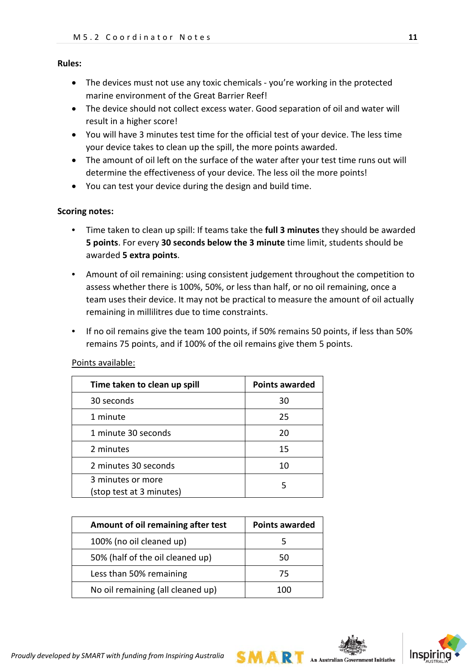#### **Rules:**

- The devices must not use any toxic chemicals you're working in the protected marine environment of the Great Barrier Reef!
- The device should not collect excess water. Good separation of oil and water will result in a higher score!
- You will have 3 minutes test time for the official test of your device. The less time your device takes to clean up the spill, the more points awarded.
- The amount of oil left on the surface of the water after your test time runs out will determine the effectiveness of your device. The less oil the more points!
- You can test your device during the design and build time.

### **Scoring notes:**

- Time taken to clean up spill: If teams take the **full 3 minutes** they should be awarded **5 points**. For every **30 seconds below the 3 minute** time limit, students should be awarded **5 extra points**.
- Amount of oil remaining: using consistent judgement throughout the competition to assess whether there is 100%, 50%, or less than half, or no oil remaining, once a team uses their device. It may not be practical to measure the amount of oil actually remaining in millilitres due to time constraints.
- If no oil remains give the team 100 points, if 50% remains 50 points, if less than 50% remains 75 points, and if 100% of the oil remains give them 5 points.

| Time taken to clean up spill                  | <b>Points awarded</b> |
|-----------------------------------------------|-----------------------|
| 30 seconds                                    | 30                    |
| 1 minute                                      | 25                    |
| 1 minute 30 seconds                           | 20                    |
| 2 minutes                                     | 15                    |
| 2 minutes 30 seconds                          | 10                    |
| 3 minutes or more<br>(stop test at 3 minutes) | 5                     |

### Points available:

| Amount of oil remaining after test | <b>Points awarded</b> |
|------------------------------------|-----------------------|
| 100% (no oil cleaned up)           |                       |
| 50% (half of the oil cleaned up)   | 50                    |
| Less than 50% remaining            | 75                    |
| No oil remaining (all cleaned up)  | 100                   |

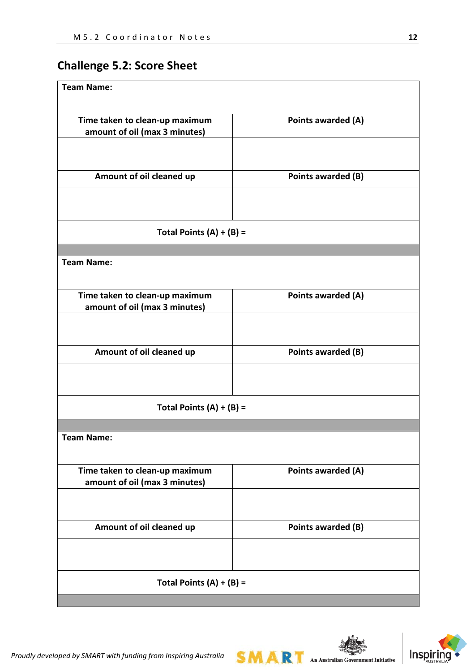# **Challenge 5.2: Score Sheet**

| <b>Team Name:</b>                                               |                    |  |
|-----------------------------------------------------------------|--------------------|--|
|                                                                 |                    |  |
| Time taken to clean-up maximum<br>amount of oil (max 3 minutes) | Points awarded (A) |  |
|                                                                 |                    |  |
|                                                                 |                    |  |
| Amount of oil cleaned up                                        | Points awarded (B) |  |
|                                                                 |                    |  |
| Total Points $(A) + (B) =$                                      |                    |  |
|                                                                 |                    |  |
| <b>Team Name:</b>                                               |                    |  |
| Time taken to clean-up maximum                                  | Points awarded (A) |  |
| amount of oil (max 3 minutes)                                   |                    |  |
|                                                                 |                    |  |
| Amount of oil cleaned up                                        | Points awarded (B) |  |
|                                                                 |                    |  |
| Total Points $(A) + (B) =$                                      |                    |  |
|                                                                 |                    |  |
| Team Name:                                                      |                    |  |
| Time taken to clean-up maximum                                  | Points awarded (A) |  |
| amount of oil (max 3 minutes)                                   |                    |  |
|                                                                 |                    |  |
| Amount of oil cleaned up                                        | Points awarded (B) |  |
|                                                                 |                    |  |
| Total Points $(A) + (B) =$                                      |                    |  |
|                                                                 |                    |  |

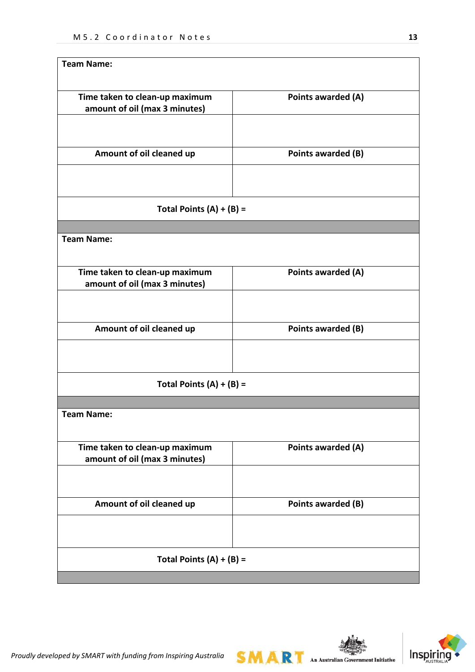| <b>Team Name:</b>                                               |                    |
|-----------------------------------------------------------------|--------------------|
| Time taken to clean-up maximum<br>amount of oil (max 3 minutes) | Points awarded (A) |
| Amount of oil cleaned up                                        | Points awarded (B) |
| Total Points $(A) + (B) =$                                      |                    |
| <b>Team Name:</b>                                               |                    |
| Time taken to clean-up maximum<br>amount of oil (max 3 minutes) | Points awarded (A) |
| Amount of oil cleaned up                                        | Points awarded (B) |
| Total Points $(A) + (B) =$                                      |                    |
|                                                                 |                    |
| <b>Team Name:</b>                                               |                    |
| Time taken to clean-up maximum<br>amount of oil (max 3 minutes) | Points awarded (A) |
| Amount of oil cleaned up                                        | Points awarded (B) |
|                                                                 |                    |
| Total Points $(A) + (B) =$                                      |                    |
|                                                                 |                    |

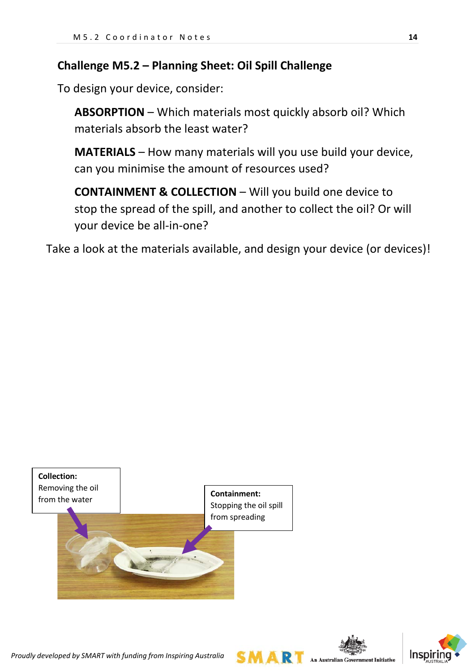# **Challenge M5.2 – Planning Sheet: Oil Spill Challenge**

To design your device, consider:

**ABSORPTION** – Which materials most quickly absorb oil? Which materials absorb the least water?

**MATERIALS** – How many materials will you use build your device, can you minimise the amount of resources used?

**CONTAINMENT & COLLECTION** – Will you build one device to stop the spread of the spill, and another to collect the oil? Or will your device be all-in-one?

Take a look at the materials available, and design your device (or devices)!





A R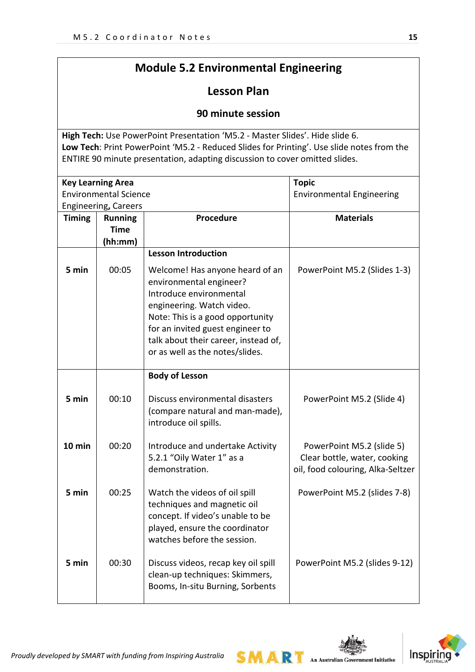# **Module 5.2 Environmental Engineering**

# **Lesson Plan**

## **90 minute session**

**High Tech:** Use PowerPoint Presentation 'M5.2 - Master Slides'. Hide slide 6. **Low Tech**: Print PowerPoint 'M5.2 - Reduced Slides for Printing'. Use slide notes from the ENTIRE 90 minute presentation, adapting discussion to cover omitted slides.

| <b>Key Learning Area</b>     |                             |                                      | <b>Topic</b>                      |
|------------------------------|-----------------------------|--------------------------------------|-----------------------------------|
| <b>Environmental Science</b> |                             |                                      | <b>Environmental Engineering</b>  |
|                              | <b>Engineering, Careers</b> |                                      |                                   |
| <b>Timing</b>                | <b>Running</b>              | <b>Procedure</b>                     | <b>Materials</b>                  |
|                              | <b>Time</b>                 |                                      |                                   |
|                              | (hh:mm)                     |                                      |                                   |
|                              |                             | <b>Lesson Introduction</b>           |                                   |
| 5 min                        | 00:05                       | Welcome! Has anyone heard of an      | PowerPoint M5.2 (Slides 1-3)      |
|                              |                             | environmental engineer?              |                                   |
|                              |                             | Introduce environmental              |                                   |
|                              |                             | engineering. Watch video.            |                                   |
|                              |                             | Note: This is a good opportunity     |                                   |
|                              |                             | for an invited guest engineer to     |                                   |
|                              |                             | talk about their career, instead of, |                                   |
|                              |                             | or as well as the notes/slides.      |                                   |
|                              |                             |                                      |                                   |
|                              |                             | <b>Body of Lesson</b>                |                                   |
|                              |                             |                                      |                                   |
| 5 min                        | 00:10                       | Discuss environmental disasters      | PowerPoint M5.2 (Slide 4)         |
|                              |                             | (compare natural and man-made),      |                                   |
|                              |                             | introduce oil spills.                |                                   |
|                              |                             |                                      |                                   |
| 10 min                       | 00:20                       | Introduce and undertake Activity     | PowerPoint M5.2 (slide 5)         |
|                              |                             | 5.2.1 "Oily Water 1" as a            | Clear bottle, water, cooking      |
|                              |                             | demonstration.                       | oil, food colouring, Alka-Seltzer |
|                              |                             |                                      |                                   |
| 5 min                        | 00:25                       | Watch the videos of oil spill        | PowerPoint M5.2 (slides 7-8)      |
|                              |                             | techniques and magnetic oil          |                                   |
|                              |                             | concept. If video's unable to be     |                                   |
|                              |                             | played, ensure the coordinator       |                                   |
|                              |                             | watches before the session.          |                                   |
|                              |                             |                                      |                                   |
| 5 min                        | 00:30                       | Discuss videos, recap key oil spill  | PowerPoint M5.2 (slides 9-12)     |
|                              |                             | clean-up techniques: Skimmers,       |                                   |
|                              |                             | Booms, In-situ Burning, Sorbents     |                                   |
|                              |                             |                                      |                                   |

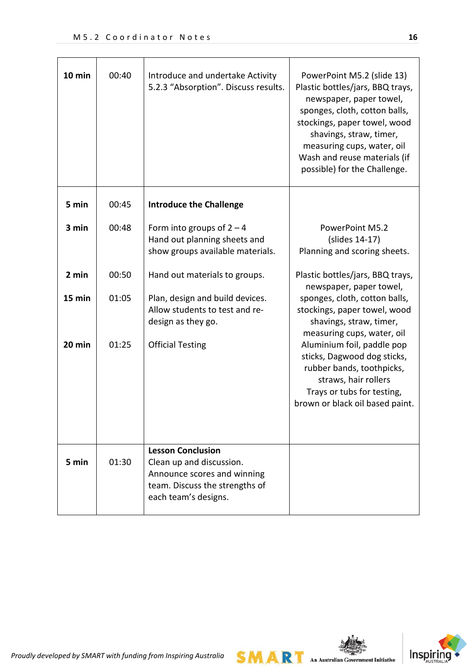| 10 min | 00:40 | Introduce and undertake Activity<br>5.2.3 "Absorption". Discuss results.                                                                      | PowerPoint M5.2 (slide 13)<br>Plastic bottles/jars, BBQ trays,<br>newspaper, paper towel,<br>sponges, cloth, cotton balls,<br>stockings, paper towel, wood<br>shavings, straw, timer,<br>measuring cups, water, oil<br>Wash and reuse materials (if<br>possible) for the Challenge. |
|--------|-------|-----------------------------------------------------------------------------------------------------------------------------------------------|-------------------------------------------------------------------------------------------------------------------------------------------------------------------------------------------------------------------------------------------------------------------------------------|
| 5 min  | 00:45 | <b>Introduce the Challenge</b>                                                                                                                |                                                                                                                                                                                                                                                                                     |
| 3 min  | 00:48 | Form into groups of $2 - 4$<br>Hand out planning sheets and<br>show groups available materials.                                               | PowerPoint M5.2<br>(slides 14-17)<br>Planning and scoring sheets.                                                                                                                                                                                                                   |
| 2 min  | 00:50 | Hand out materials to groups.                                                                                                                 | Plastic bottles/jars, BBQ trays,<br>newspaper, paper towel,                                                                                                                                                                                                                         |
| 15 min | 01:05 | Plan, design and build devices.<br>Allow students to test and re-<br>design as they go.                                                       | sponges, cloth, cotton balls,<br>stockings, paper towel, wood<br>shavings, straw, timer,<br>measuring cups, water, oil                                                                                                                                                              |
| 20 min | 01:25 | <b>Official Testing</b>                                                                                                                       | Aluminium foil, paddle pop<br>sticks, Dagwood dog sticks,<br>rubber bands, toothpicks,<br>straws, hair rollers<br>Trays or tubs for testing,<br>brown or black oil based paint.                                                                                                     |
| 5 min  | 01:30 | <b>Lesson Conclusion</b><br>Clean up and discussion.<br>Announce scores and winning<br>team. Discuss the strengths of<br>each team's designs. |                                                                                                                                                                                                                                                                                     |



 $SMAR$  An Australian Government Initiative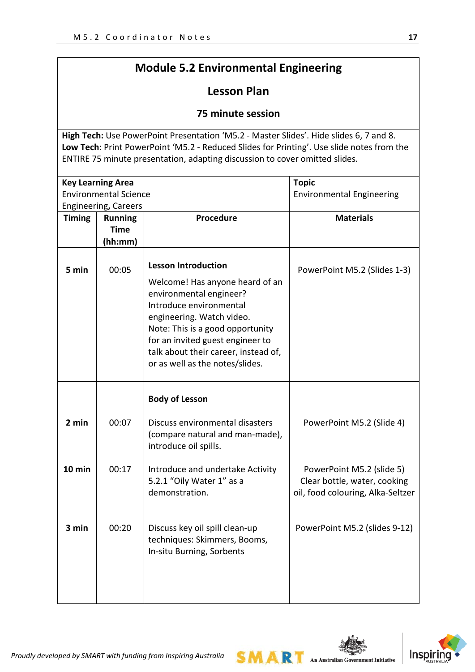# **Module 5.2 Environmental Engineering**

# **Lesson Plan**

## **75 minute session**

**High Tech:** Use PowerPoint Presentation 'M5.2 - Master Slides'. Hide slides 6, 7 and 8. **Low Tech**: Print PowerPoint 'M5.2 - Reduced Slides for Printing'. Use slide notes from the ENTIRE 75 minute presentation, adapting discussion to cover omitted slides.

|               | <b>Key Learning Area</b>     |                                                                                             | <b>Topic</b>                                                                                   |
|---------------|------------------------------|---------------------------------------------------------------------------------------------|------------------------------------------------------------------------------------------------|
|               | <b>Environmental Science</b> |                                                                                             | <b>Environmental Engineering</b>                                                               |
|               | <b>Engineering, Careers</b>  |                                                                                             |                                                                                                |
| <b>Timing</b> | <b>Running</b>               | <b>Procedure</b>                                                                            | <b>Materials</b>                                                                               |
|               | <b>Time</b>                  |                                                                                             |                                                                                                |
|               | (hh:mm)                      |                                                                                             |                                                                                                |
| 5 min         | 00:05                        | <b>Lesson Introduction</b><br>Welcome! Has anyone heard of an                               | PowerPoint M5.2 (Slides 1-3)                                                                   |
|               |                              | environmental engineer?                                                                     |                                                                                                |
|               |                              | Introduce environmental                                                                     |                                                                                                |
|               |                              | engineering. Watch video.                                                                   |                                                                                                |
|               |                              | Note: This is a good opportunity                                                            |                                                                                                |
|               |                              | for an invited guest engineer to                                                            |                                                                                                |
|               |                              | talk about their career, instead of,                                                        |                                                                                                |
|               |                              | or as well as the notes/slides.                                                             |                                                                                                |
|               |                              |                                                                                             |                                                                                                |
|               |                              | <b>Body of Lesson</b>                                                                       |                                                                                                |
| 2 min         | 00:07                        | Discuss environmental disasters<br>(compare natural and man-made),<br>introduce oil spills. | PowerPoint M5.2 (Slide 4)                                                                      |
| 10 min        | 00:17                        | Introduce and undertake Activity<br>5.2.1 "Oily Water 1" as a<br>demonstration.             | PowerPoint M5.2 (slide 5)<br>Clear bottle, water, cooking<br>oil, food colouring, Alka-Seltzer |
| 3 min         | 00:20                        | Discuss key oil spill clean-up<br>techniques: Skimmers, Booms,<br>In-situ Burning, Sorbents | PowerPoint M5.2 (slides 9-12)                                                                  |

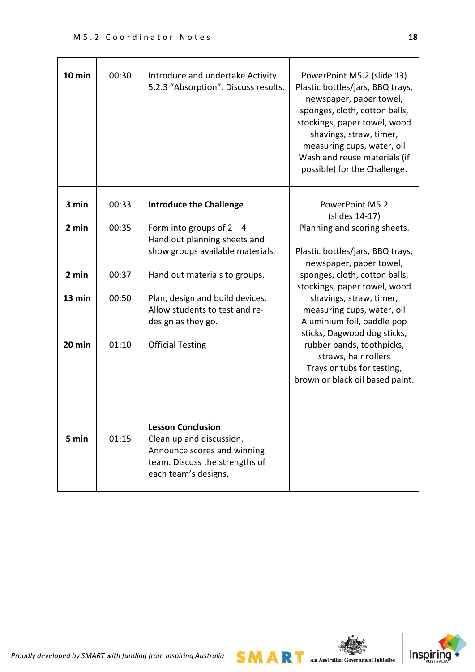| 10 min | 00:30 | Introduce and undertake Activity<br>5.2.3 "Absorption". Discuss results.                                                                      | PowerPoint M5.2 (slide 13)<br>Plastic bottles/jars, BBQ trays,<br>newspaper, paper towel,<br>sponges, cloth, cotton balls,<br>stockings, paper towel, wood<br>shavings, straw, timer,<br>measuring cups, water, oil<br>Wash and reuse materials (if<br>possible) for the Challenge. |
|--------|-------|-----------------------------------------------------------------------------------------------------------------------------------------------|-------------------------------------------------------------------------------------------------------------------------------------------------------------------------------------------------------------------------------------------------------------------------------------|
| 3 min  | 00:33 | <b>Introduce the Challenge</b>                                                                                                                | <b>PowerPoint M5.2</b><br>(slides 14-17)                                                                                                                                                                                                                                            |
| 2 min  | 00:35 | Form into groups of $2 - 4$<br>Hand out planning sheets and                                                                                   | Planning and scoring sheets.                                                                                                                                                                                                                                                        |
|        |       | show groups available materials.                                                                                                              | Plastic bottles/jars, BBQ trays,<br>newspaper, paper towel,                                                                                                                                                                                                                         |
| 2 min  | 00:37 | Hand out materials to groups.                                                                                                                 | sponges, cloth, cotton balls,<br>stockings, paper towel, wood                                                                                                                                                                                                                       |
| 13 min | 00:50 | Plan, design and build devices.<br>Allow students to test and re-<br>design as they go.                                                       | shavings, straw, timer,<br>measuring cups, water, oil<br>Aluminium foil, paddle pop<br>sticks, Dagwood dog sticks,                                                                                                                                                                  |
| 20 min | 01:10 | <b>Official Testing</b>                                                                                                                       | rubber bands, toothpicks,<br>straws, hair rollers<br>Trays or tubs for testing,<br>brown or black oil based paint.                                                                                                                                                                  |
| 5 min  | 01:15 | <b>Lesson Conclusion</b><br>Clean up and discussion.<br>Announce scores and winning<br>team. Discuss the strengths of<br>each team's designs. |                                                                                                                                                                                                                                                                                     |



 $SMAR$  An Australian Government Initiative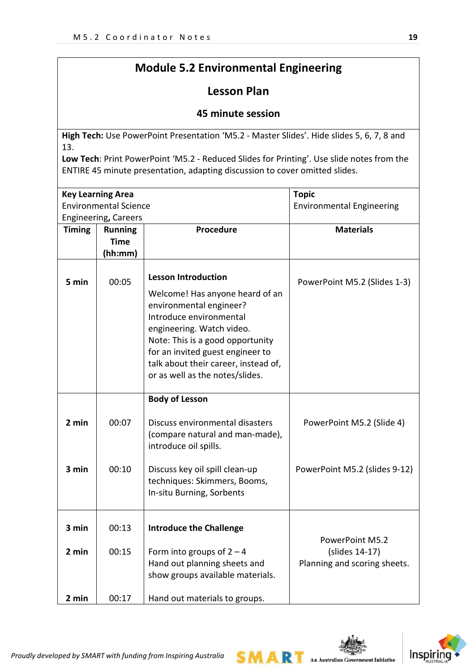# **Module 5.2 Environmental Engineering**

# **Lesson Plan**

## **45 minute session**

**High Tech:** Use PowerPoint Presentation 'M5.2 - Master Slides'. Hide slides 5, 6, 7, 8 and 13.

**Low Tech**: Print PowerPoint 'M5.2 - Reduced Slides for Printing'. Use slide notes from the ENTIRE 45 minute presentation, adapting discussion to cover omitted slides.

| <b>Key Learning Area</b>     |                                                                         |                                                                                                                                                                                                                                                                                                     | <b>Topic</b>                                                      |
|------------------------------|-------------------------------------------------------------------------|-----------------------------------------------------------------------------------------------------------------------------------------------------------------------------------------------------------------------------------------------------------------------------------------------------|-------------------------------------------------------------------|
| <b>Environmental Science</b> |                                                                         |                                                                                                                                                                                                                                                                                                     | <b>Environmental Engineering</b>                                  |
| <b>Timing</b>                | <b>Engineering, Careers</b><br><b>Running</b><br><b>Time</b><br>(hh:mm) | Procedure                                                                                                                                                                                                                                                                                           | <b>Materials</b>                                                  |
| 5 min                        | 00:05                                                                   | <b>Lesson Introduction</b><br>Welcome! Has anyone heard of an<br>environmental engineer?<br>Introduce environmental<br>engineering. Watch video.<br>Note: This is a good opportunity<br>for an invited guest engineer to<br>talk about their career, instead of,<br>or as well as the notes/slides. | PowerPoint M5.2 (Slides 1-3)                                      |
| 2 min<br>3 min               | 00:07<br>00:10                                                          | <b>Body of Lesson</b><br>Discuss environmental disasters<br>(compare natural and man-made),<br>introduce oil spills.<br>Discuss key oil spill clean-up<br>techniques: Skimmers, Booms,                                                                                                              | PowerPoint M5.2 (Slide 4)<br>PowerPoint M5.2 (slides 9-12)        |
| 3 min<br>2 min               | 00:13<br>00:15                                                          | In-situ Burning, Sorbents<br><b>Introduce the Challenge</b><br>Form into groups of $2 - 4$<br>Hand out planning sheets and<br>show groups available materials.                                                                                                                                      | PowerPoint M5.2<br>(slides 14-17)<br>Planning and scoring sheets. |
| 2 min                        | 00:17                                                                   | Hand out materials to groups.                                                                                                                                                                                                                                                                       |                                                                   |

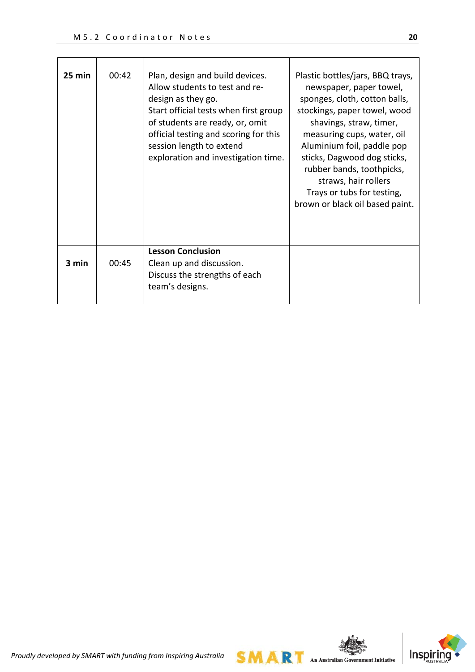| 25 min | 00:42 | Plan, design and build devices.<br>Allow students to test and re-<br>design as they go.<br>Start official tests when first group<br>of students are ready, or, omit<br>official testing and scoring for this<br>session length to extend<br>exploration and investigation time. | Plastic bottles/jars, BBQ trays,<br>newspaper, paper towel,<br>sponges, cloth, cotton balls,<br>stockings, paper towel, wood<br>shavings, straw, timer,<br>measuring cups, water, oil<br>Aluminium foil, paddle pop<br>sticks, Dagwood dog sticks,<br>rubber bands, toothpicks,<br>straws, hair rollers<br>Trays or tubs for testing,<br>brown or black oil based paint. |
|--------|-------|---------------------------------------------------------------------------------------------------------------------------------------------------------------------------------------------------------------------------------------------------------------------------------|--------------------------------------------------------------------------------------------------------------------------------------------------------------------------------------------------------------------------------------------------------------------------------------------------------------------------------------------------------------------------|
| 3 min  | 00:45 | <b>Lesson Conclusion</b><br>Clean up and discussion.<br>Discuss the strengths of each<br>team's designs.                                                                                                                                                                        |                                                                                                                                                                                                                                                                                                                                                                          |



 $SMAR$  An Australian Government Initiative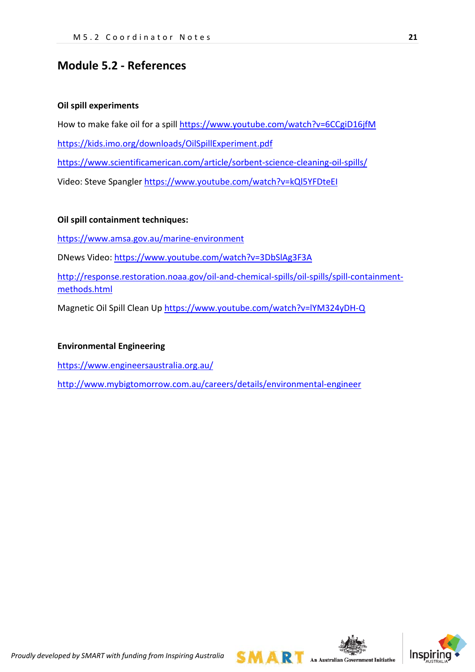## **Module 5.2 - References**

#### **Oil spill experiments**

How to make fake oil for a spill<https://www.youtube.com/watch?v=6CCgiD16jfM> <https://kids.imo.org/downloads/OilSpillExperiment.pdf> <https://www.scientificamerican.com/article/sorbent-science-cleaning-oil-spills/> Video: Steve Spangler<https://www.youtube.com/watch?v=kQl5YFDteEI>

### **Oil spill containment techniques:**

<https://www.amsa.gov.au/marine-environment>

DNews Video:<https://www.youtube.com/watch?v=3DbSlAg3F3A>

[http://response.restoration.noaa.gov/oil-and-chemical-spills/oil-spills/spill-containment](http://response.restoration.noaa.gov/oil-and-chemical-spills/oil-spills/spill-containment-methods.html)[methods.html](http://response.restoration.noaa.gov/oil-and-chemical-spills/oil-spills/spill-containment-methods.html)

Magnetic Oil Spill Clean Up<https://www.youtube.com/watch?v=lYM324yDH-Q>

#### **Environmental Engineering**

<https://www.engineersaustralia.org.au/>

<http://www.mybigtomorrow.com.au/careers/details/environmental-engineer>

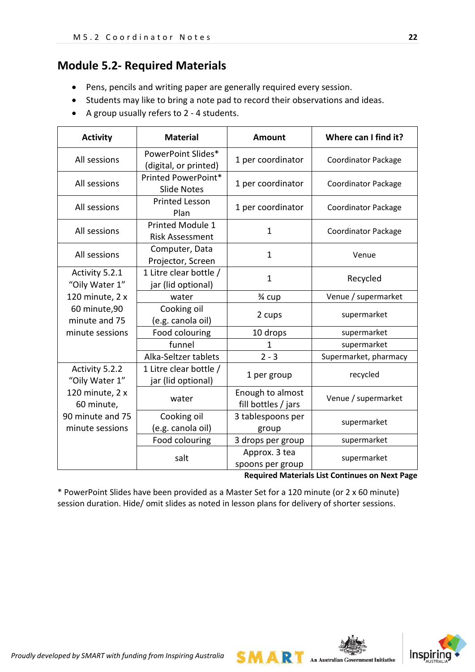# **Module 5.2- Required Materials**

- Pens, pencils and writing paper are generally required every session.
- Students may like to bring a note pad to record their observations and ideas.
- A group usually refers to 2 4 students.

| <b>Activity</b>                     | <b>Material</b>                                   | <b>Amount</b>                           | Where can I find it?       |
|-------------------------------------|---------------------------------------------------|-----------------------------------------|----------------------------|
| All sessions                        | PowerPoint Slides*<br>(digital, or printed)       | 1 per coordinator                       | <b>Coordinator Package</b> |
| All sessions                        | Printed PowerPoint*<br><b>Slide Notes</b>         | 1 per coordinator                       | <b>Coordinator Package</b> |
| All sessions                        | <b>Printed Lesson</b><br>Plan                     | 1 per coordinator                       | <b>Coordinator Package</b> |
| All sessions                        | <b>Printed Module 1</b><br><b>Risk Assessment</b> | $\mathbf{1}$                            | <b>Coordinator Package</b> |
| All sessions                        | Computer, Data<br>Projector, Screen               | $\mathbf{1}$                            | Venue                      |
| Activity 5.2.1<br>"Oily Water 1"    | 1 Litre clear bottle /<br>jar (lid optional)      | $\mathbf{1}$                            | Recycled                   |
| 120 minute, 2 x                     | water                                             | 3⁄4 cup                                 | Venue / supermarket        |
| 60 minute,90<br>minute and 75       | Cooking oil<br>(e.g. canola oil)                  | 2 cups                                  | supermarket                |
| minute sessions                     | Food colouring                                    | 10 drops                                | supermarket                |
|                                     | funnel                                            | 1                                       | supermarket                |
|                                     | Alka-Seltzer tablets                              | $2 - 3$                                 | Supermarket, pharmacy      |
| Activity 5.2.2<br>"Oily Water 1"    | 1 Litre clear bottle /<br>jar (lid optional)      | 1 per group                             | recycled                   |
| 120 minute, 2 x<br>60 minute,       | water                                             | Enough to almost<br>fill bottles / jars | Venue / supermarket        |
| 90 minute and 75<br>minute sessions | Cooking oil<br>(e.g. canola oil)                  | 3 tablespoons per<br>group              | supermarket                |
|                                     | Food colouring                                    | 3 drops per group                       | supermarket                |
|                                     | salt                                              | Approx. 3 tea<br>spoons per group       | supermarket                |

**Required Materials List Continues on Next Page**

**SMART** An Australian Government Initiative

\* PowerPoint Slides have been provided as a Master Set for a 120 minute (or 2 x 60 minute) session duration. Hide/ omit slides as noted in lesson plans for delivery of shorter sessions.